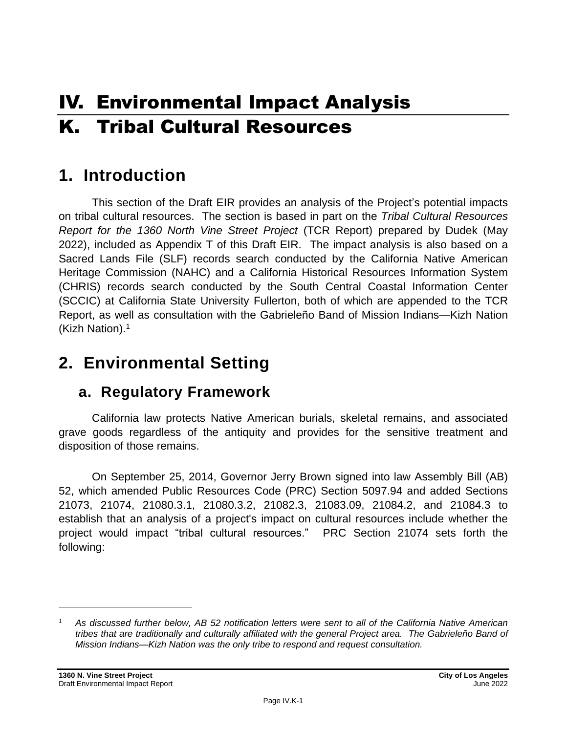# IV. Environmental Impact Analysis K. Tribal Cultural Resources

# **1. Introduction**

This section of the Draft EIR provides an analysis of the Project's potential impacts on tribal cultural resources. The section is based in part on the *Tribal Cultural Resources Report for the 1360 North Vine Street Project* (TCR Report) prepared by Dudek (May 2022), included as Appendix T of this Draft EIR. The impact analysis is also based on a Sacred Lands File (SLF) records search conducted by the California Native American Heritage Commission (NAHC) and a California Historical Resources Information System (CHRIS) records search conducted by the South Central Coastal Information Center (SCCIC) at California State University Fullerton, both of which are appended to the TCR Report, as well as consultation with the Gabrieleño Band of Mission Indians—Kizh Nation (Kizh Nation). 1

# **2. Environmental Setting**

### **a. Regulatory Framework**

California law protects Native American burials, skeletal remains, and associated grave goods regardless of the antiquity and provides for the sensitive treatment and disposition of those remains.

On September 25, 2014, Governor Jerry Brown signed into law Assembly Bill (AB) 52, which amended Public Resources Code (PRC) Section 5097.94 and added Sections 21073, 21074, 21080.3.1, 21080.3.2, 21082.3, 21083.09, 21084.2, and 21084.3 to establish that an analysis of a project's impact on cultural resources include whether the project would impact "tribal cultural resources." PRC Section 21074 sets forth the following:

*<sup>1</sup> As discussed further below, AB 52 notification letters were sent to all of the California Native American tribes that are traditionally and culturally affiliated with the general Project area. The Gabrieleño Band of Mission Indians—Kizh Nation was the only tribe to respond and request consultation.*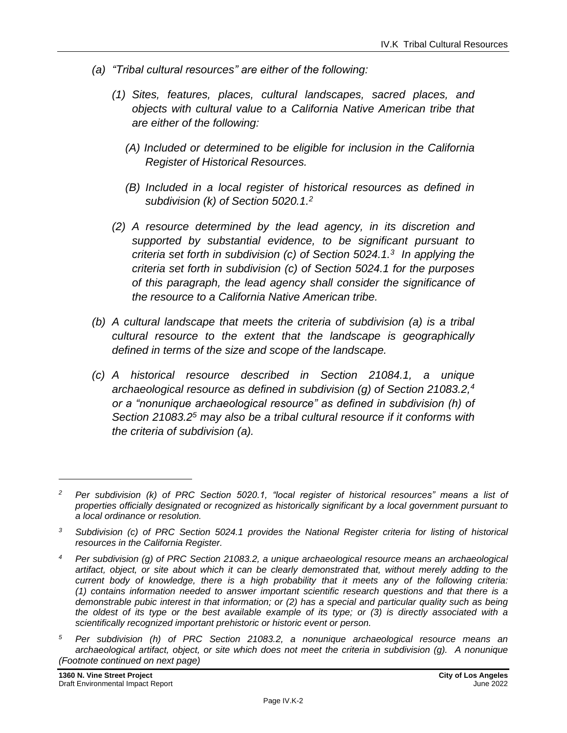- *(a) "Tribal cultural resources" are either of the following:*
	- *(1) Sites, features, places, cultural landscapes, sacred places, and objects with cultural value to a California Native American tribe that are either of the following:*
		- *(A) Included or determined to be eligible for inclusion in the California Register of Historical Resources.*
		- *(B) Included in a local register of historical resources as defined in subdivision (k) of Section 5020.1. 2*
	- *(2) A resource determined by the lead agency, in its discretion and supported by substantial evidence, to be significant pursuant to criteria set forth in subdivision (c) of Section 5024.1.<sup>3</sup> In applying the criteria set forth in subdivision (c) of Section 5024.1 for the purposes of this paragraph, the lead agency shall consider the significance of the resource to a California Native American tribe.*
- *(b) A cultural landscape that meets the criteria of subdivision (a) is a tribal cultural resource to the extent that the landscape is geographically defined in terms of the size and scope of the landscape.*
- *(c) A historical resource described in Section 21084.1, a unique archaeological resource as defined in subdivision (g) of Section 21083.2,<sup>4</sup> or a "nonunique archaeological resource" as defined in subdivision (h) of Section 21083.2<sup>5</sup> may also be a tribal cultural resource if it conforms with the criteria of subdivision (a).*

*<sup>5</sup> Per subdivision (h) of PRC Section 21083.2, a nonunique archaeological resource means an archaeological artifact, object, or site which does not meet the criteria in subdivision (g). A nonunique (Footnote continued on next page)*

*<sup>2</sup> Per subdivision (k) of PRC Section 5020.1, "local register of historical resources" means a list of properties officially designated or recognized as historically significant by a local government pursuant to a local ordinance or resolution.*

*<sup>3</sup> Subdivision (c) of PRC Section 5024.1 provides the National Register criteria for listing of historical resources in the California Register.*

*<sup>4</sup> Per subdivision (g) of PRC Section 21083.2, a unique archaeological resource means an archaeological artifact, object, or site about which it can be clearly demonstrated that, without merely adding to the current body of knowledge, there is a high probability that it meets any of the following criteria: (1) contains information needed to answer important scientific research questions and that there is a demonstrable pubic interest in that information; or (2) has a special and particular quality such as being the oldest of its type or the best available example of its type; or (3) is directly associated with a scientifically recognized important prehistoric or historic event or person.*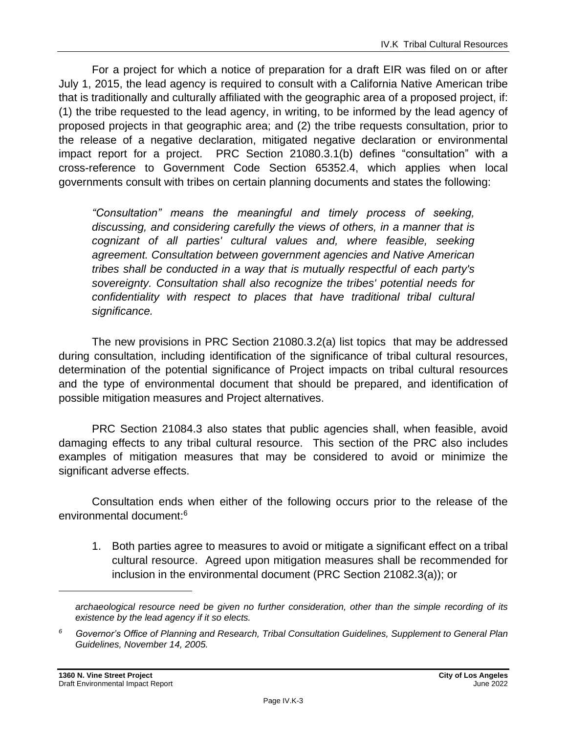For a project for which a notice of preparation for a draft EIR was filed on or after July 1, 2015, the lead agency is required to consult with a California Native American tribe that is traditionally and culturally affiliated with the geographic area of a proposed project, if: (1) the tribe requested to the lead agency, in writing, to be informed by the lead agency of proposed projects in that geographic area; and (2) the tribe requests consultation, prior to the release of a negative declaration, mitigated negative declaration or environmental impact report for a project. PRC Section 21080.3.1(b) defines "consultation" with a cross-reference to Government Code Section 65352.4, which applies when local governments consult with tribes on certain planning documents and states the following:

*"Consultation" means the meaningful and timely process of seeking, discussing, and considering carefully the views of others, in a manner that is cognizant of all parties' cultural values and, where feasible, seeking agreement. Consultation between government agencies and Native American tribes shall be conducted in a way that is mutually respectful of each party's sovereignty. Consultation shall also recognize the tribes' potential needs for confidentiality with respect to places that have traditional tribal cultural significance.*

The new provisions in PRC Section 21080.3.2(a) list topics that may be addressed during consultation, including identification of the significance of tribal cultural resources, determination of the potential significance of Project impacts on tribal cultural resources and the type of environmental document that should be prepared, and identification of possible mitigation measures and Project alternatives.

PRC Section 21084.3 also states that public agencies shall, when feasible, avoid damaging effects to any tribal cultural resource. This section of the PRC also includes examples of mitigation measures that may be considered to avoid or minimize the significant adverse effects.

Consultation ends when either of the following occurs prior to the release of the environmental document:<sup>6</sup>

1. Both parties agree to measures to avoid or mitigate a significant effect on a tribal cultural resource. Agreed upon mitigation measures shall be recommended for inclusion in the environmental document (PRC Section 21082.3(a)); or

*archaeological resource need be given no further consideration, other than the simple recording of its existence by the lead agency if it so elects.*

*<sup>6</sup> Governor's Office of Planning and Research, Tribal Consultation Guidelines, Supplement to General Plan Guidelines, November 14, 2005.*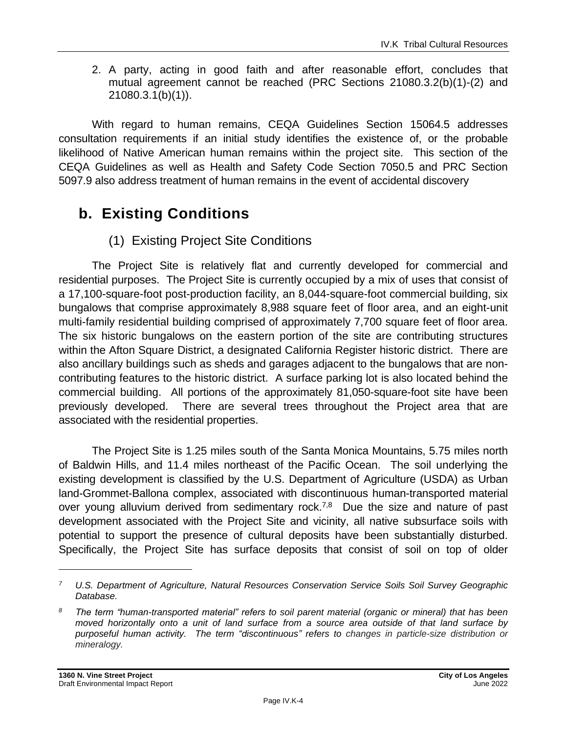2. A party, acting in good faith and after reasonable effort, concludes that mutual agreement cannot be reached (PRC Sections 21080.3.2(b)(1)-(2) and 21080.3.1(b)(1)).

With regard to human remains, CEQA Guidelines Section 15064.5 addresses consultation requirements if an initial study identifies the existence of, or the probable likelihood of Native American human remains within the project site. This section of the CEQA Guidelines as well as Health and Safety Code Section 7050.5 and PRC Section 5097.9 also address treatment of human remains in the event of accidental discovery

# **b. Existing Conditions**

### (1) Existing Project Site Conditions

The Project Site is relatively flat and currently developed for commercial and residential purposes. The Project Site is currently occupied by a mix of uses that consist of a 17,100-square-foot post-production facility, an 8,044-square-foot commercial building, six bungalows that comprise approximately 8,988 square feet of floor area, and an eight-unit multi-family residential building comprised of approximately 7,700 square feet of floor area. The six historic bungalows on the eastern portion of the site are contributing structures within the Afton Square District, a designated California Register historic district. There are also ancillary buildings such as sheds and garages adjacent to the bungalows that are noncontributing features to the historic district. A surface parking lot is also located behind the commercial building. All portions of the approximately 81,050-square-foot site have been previously developed. There are several trees throughout the Project area that are associated with the residential properties.

The Project Site is 1.25 miles south of the Santa Monica Mountains, 5.75 miles north of Baldwin Hills, and 11.4 miles northeast of the Pacific Ocean. The soil underlying the existing development is classified by the U.S. Department of Agriculture (USDA) as Urban land-Grommet-Ballona complex, associated with discontinuous human-transported material over young alluvium derived from sedimentary rock.<sup>7,8</sup> Due the size and nature of past development associated with the Project Site and vicinity, all native subsurface soils with potential to support the presence of cultural deposits have been substantially disturbed. Specifically, the Project Site has surface deposits that consist of soil on top of older

*<sup>7</sup> U.S. Department of Agriculture, Natural Resources Conservation Service Soils Soil Survey Geographic Database.*

*<sup>8</sup> The term "human-transported material" refers to soil parent material (organic or mineral) that has been moved horizontally onto a unit of land surface from a source area outside of that land surface by purposeful human activity. The term "discontinuous" refers to changes in particle-size distribution or mineralogy.*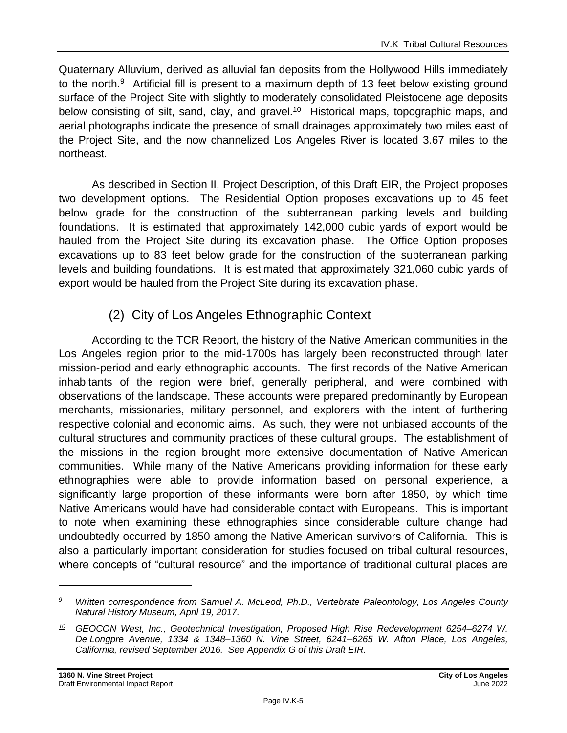Quaternary Alluvium, derived as alluvial fan deposits from the Hollywood Hills immediately to the north.<sup>9</sup> Artificial fill is present to a maximum depth of 13 feet below existing ground surface of the Project Site with slightly to moderately consolidated Pleistocene age deposits below consisting of silt, sand, clay, and gravel.<sup>10</sup> Historical maps, topographic maps, and aerial photographs indicate the presence of small drainages approximately two miles east of the Project Site, and the now channelized Los Angeles River is located 3.67 miles to the northeast.

As described in Section II, Project Description, of this Draft EIR, the Project proposes two development options. The Residential Option proposes excavations up to 45 feet below grade for the construction of the subterranean parking levels and building foundations. It is estimated that approximately 142,000 cubic yards of export would be hauled from the Project Site during its excavation phase. The Office Option proposes excavations up to 83 feet below grade for the construction of the subterranean parking levels and building foundations. It is estimated that approximately 321,060 cubic yards of export would be hauled from the Project Site during its excavation phase.

### (2) City of Los Angeles Ethnographic Context

According to the TCR Report, the history of the Native American communities in the Los Angeles region prior to the mid-1700s has largely been reconstructed through later mission-period and early ethnographic accounts. The first records of the Native American inhabitants of the region were brief, generally peripheral, and were combined with observations of the landscape. These accounts were prepared predominantly by European merchants, missionaries, military personnel, and explorers with the intent of furthering respective colonial and economic aims. As such, they were not unbiased accounts of the cultural structures and community practices of these cultural groups. The establishment of the missions in the region brought more extensive documentation of Native American communities. While many of the Native Americans providing information for these early ethnographies were able to provide information based on personal experience, a significantly large proportion of these informants were born after 1850, by which time Native Americans would have had considerable contact with Europeans. This is important to note when examining these ethnographies since considerable culture change had undoubtedly occurred by 1850 among the Native American survivors of California. This is also a particularly important consideration for studies focused on tribal cultural resources, where concepts of "cultural resource" and the importance of traditional cultural places are

*<sup>9</sup> Written correspondence from Samuel A. McLeod, Ph.D., Vertebrate Paleontology, Los Angeles County Natural History Museum, April 19, 2017.*

*<sup>10</sup> GEOCON West, Inc., Geotechnical Investigation, Proposed High Rise Redevelopment 6254–6274 W. De Longpre Avenue, 1334 & 1348–1360 N. Vine Street, 6241–6265 W. Afton Place, Los Angeles, California, revised September 2016. See Appendix G of this Draft EIR.*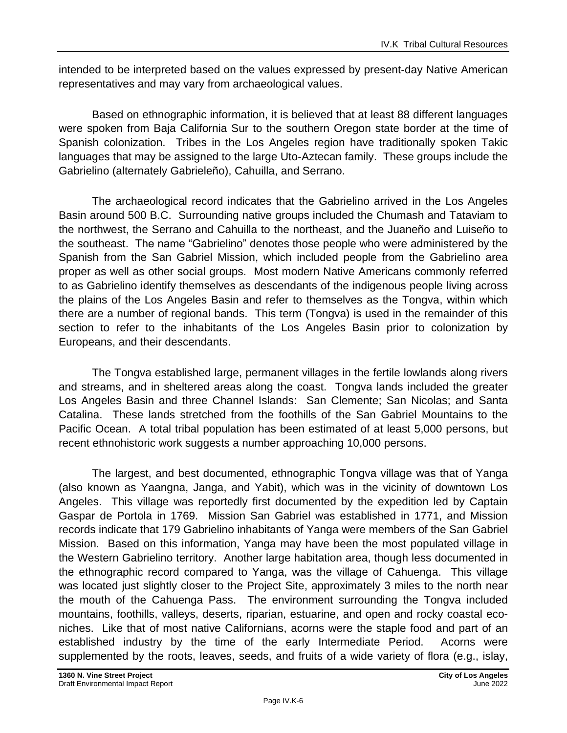intended to be interpreted based on the values expressed by present-day Native American representatives and may vary from archaeological values.

Based on ethnographic information, it is believed that at least 88 different languages were spoken from Baja California Sur to the southern Oregon state border at the time of Spanish colonization. Tribes in the Los Angeles region have traditionally spoken Takic languages that may be assigned to the large Uto-Aztecan family. These groups include the Gabrielino (alternately Gabrieleño), Cahuilla, and Serrano.

The archaeological record indicates that the Gabrielino arrived in the Los Angeles Basin around 500 B.C. Surrounding native groups included the Chumash and Tataviam to the northwest, the Serrano and Cahuilla to the northeast, and the Juaneño and Luiseño to the southeast. The name "Gabrielino" denotes those people who were administered by the Spanish from the San Gabriel Mission, which included people from the Gabrielino area proper as well as other social groups. Most modern Native Americans commonly referred to as Gabrielino identify themselves as descendants of the indigenous people living across the plains of the Los Angeles Basin and refer to themselves as the Tongva, within which there are a number of regional bands. This term (Tongva) is used in the remainder of this section to refer to the inhabitants of the Los Angeles Basin prior to colonization by Europeans, and their descendants.

The Tongva established large, permanent villages in the fertile lowlands along rivers and streams, and in sheltered areas along the coast. Tongva lands included the greater Los Angeles Basin and three Channel Islands: San Clemente; San Nicolas; and Santa Catalina. These lands stretched from the foothills of the San Gabriel Mountains to the Pacific Ocean. A total tribal population has been estimated of at least 5,000 persons, but recent ethnohistoric work suggests a number approaching 10,000 persons.

The largest, and best documented, ethnographic Tongva village was that of Yanga (also known as Yaangna, Janga, and Yabit), which was in the vicinity of downtown Los Angeles. This village was reportedly first documented by the expedition led by Captain Gaspar de Portola in 1769. Mission San Gabriel was established in 1771, and Mission records indicate that 179 Gabrielino inhabitants of Yanga were members of the San Gabriel Mission. Based on this information, Yanga may have been the most populated village in the Western Gabrielino territory. Another large habitation area, though less documented in the ethnographic record compared to Yanga, was the village of Cahuenga. This village was located just slightly closer to the Project Site, approximately 3 miles to the north near the mouth of the Cahuenga Pass. The environment surrounding the Tongva included mountains, foothills, valleys, deserts, riparian, estuarine, and open and rocky coastal econiches. Like that of most native Californians, acorns were the staple food and part of an established industry by the time of the early Intermediate Period. Acorns were supplemented by the roots, leaves, seeds, and fruits of a wide variety of flora (e.g., islay,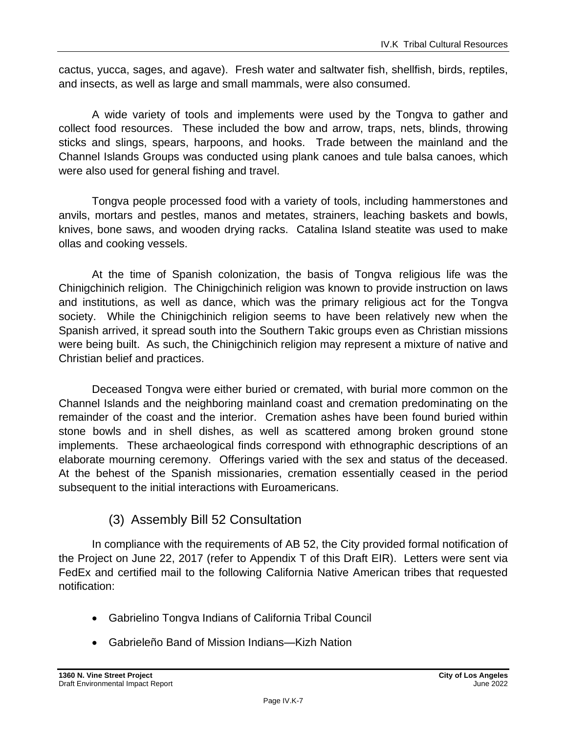cactus, yucca, sages, and agave). Fresh water and saltwater fish, shellfish, birds, reptiles, and insects, as well as large and small mammals, were also consumed.

A wide variety of tools and implements were used by the Tongva to gather and collect food resources. These included the bow and arrow, traps, nets, blinds, throwing sticks and slings, spears, harpoons, and hooks. Trade between the mainland and the Channel Islands Groups was conducted using plank canoes and tule balsa canoes, which were also used for general fishing and travel.

Tongva people processed food with a variety of tools, including hammerstones and anvils, mortars and pestles, manos and metates, strainers, leaching baskets and bowls, knives, bone saws, and wooden drying racks. Catalina Island steatite was used to make ollas and cooking vessels.

At the time of Spanish colonization, the basis of Tongva religious life was the Chinigchinich religion. The Chinigchinich religion was known to provide instruction on laws and institutions, as well as dance, which was the primary religious act for the Tongva society. While the Chinigchinich religion seems to have been relatively new when the Spanish arrived, it spread south into the Southern Takic groups even as Christian missions were being built. As such, the Chinigchinich religion may represent a mixture of native and Christian belief and practices.

Deceased Tongva were either buried or cremated, with burial more common on the Channel Islands and the neighboring mainland coast and cremation predominating on the remainder of the coast and the interior. Cremation ashes have been found buried within stone bowls and in shell dishes, as well as scattered among broken ground stone implements. These archaeological finds correspond with ethnographic descriptions of an elaborate mourning ceremony. Offerings varied with the sex and status of the deceased. At the behest of the Spanish missionaries, cremation essentially ceased in the period subsequent to the initial interactions with Euroamericans.

#### (3) Assembly Bill 52 Consultation

In compliance with the requirements of AB 52, the City provided formal notification of the Project on June 22, 2017 (refer to Appendix T of this Draft EIR). Letters were sent via FedEx and certified mail to the following California Native American tribes that requested notification:

- Gabrielino Tongva Indians of California Tribal Council
- Gabrieleño Band of Mission Indians—Kizh Nation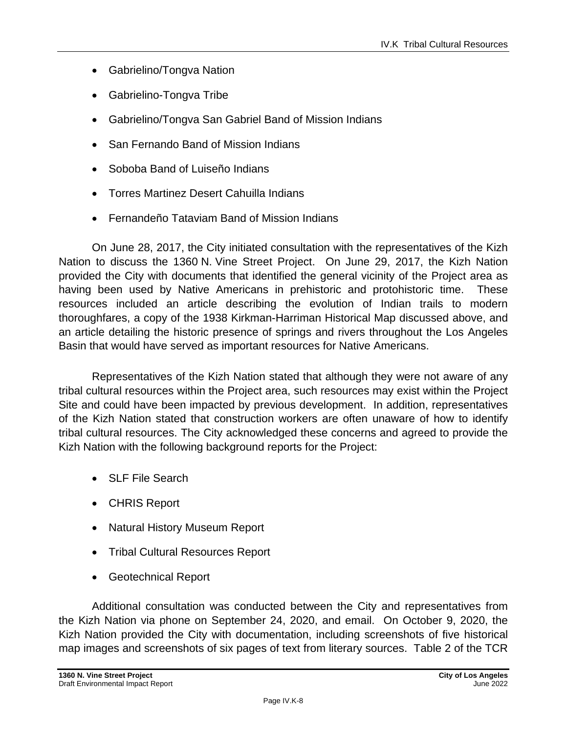- Gabrielino/Tongva Nation
- Gabrielino-Tongva Tribe
- Gabrielino/Tongva San Gabriel Band of Mission Indians
- San Fernando Band of Mission Indians
- Soboba Band of Luiseño Indians
- Torres Martinez Desert Cahuilla Indians
- Fernandeño Tataviam Band of Mission Indians

On June 28, 2017, the City initiated consultation with the representatives of the Kizh Nation to discuss the 1360 N. Vine Street Project. On June 29, 2017, the Kizh Nation provided the City with documents that identified the general vicinity of the Project area as having been used by Native Americans in prehistoric and protohistoric time. These resources included an article describing the evolution of Indian trails to modern thoroughfares, a copy of the 1938 Kirkman-Harriman Historical Map discussed above, and an article detailing the historic presence of springs and rivers throughout the Los Angeles Basin that would have served as important resources for Native Americans.

Representatives of the Kizh Nation stated that although they were not aware of any tribal cultural resources within the Project area, such resources may exist within the Project Site and could have been impacted by previous development. In addition, representatives of the Kizh Nation stated that construction workers are often unaware of how to identify tribal cultural resources. The City acknowledged these concerns and agreed to provide the Kizh Nation with the following background reports for the Project:

- SLF File Search
- CHRIS Report
- Natural History Museum Report
- Tribal Cultural Resources Report
- Geotechnical Report

Additional consultation was conducted between the City and representatives from the Kizh Nation via phone on September 24, 2020, and email. On October 9, 2020, the Kizh Nation provided the City with documentation, including screenshots of five historical map images and screenshots of six pages of text from literary sources. Table 2 of the TCR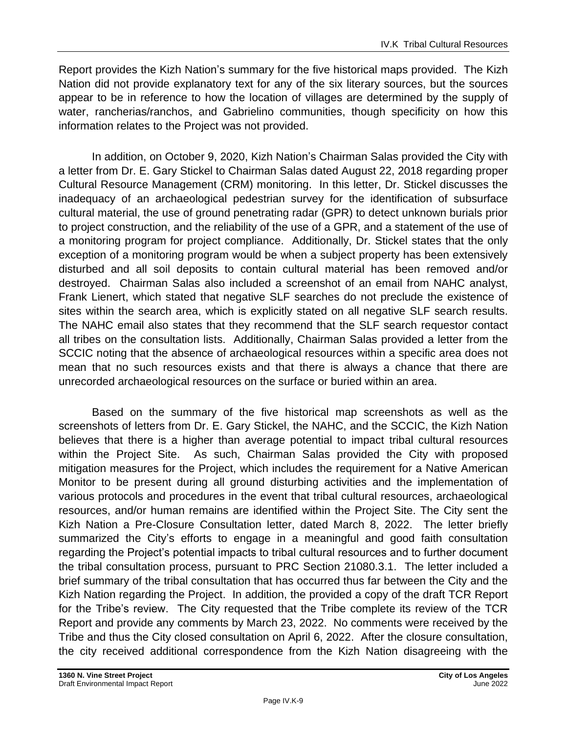Report provides the Kizh Nation's summary for the five historical maps provided. The Kizh Nation did not provide explanatory text for any of the six literary sources, but the sources appear to be in reference to how the location of villages are determined by the supply of water, rancherias/ranchos, and Gabrielino communities, though specificity on how this information relates to the Project was not provided.

In addition, on October 9, 2020, Kizh Nation's Chairman Salas provided the City with a letter from Dr. E. Gary Stickel to Chairman Salas dated August 22, 2018 regarding proper Cultural Resource Management (CRM) monitoring. In this letter, Dr. Stickel discusses the inadequacy of an archaeological pedestrian survey for the identification of subsurface cultural material, the use of ground penetrating radar (GPR) to detect unknown burials prior to project construction, and the reliability of the use of a GPR, and a statement of the use of a monitoring program for project compliance. Additionally, Dr. Stickel states that the only exception of a monitoring program would be when a subject property has been extensively disturbed and all soil deposits to contain cultural material has been removed and/or destroyed. Chairman Salas also included a screenshot of an email from NAHC analyst, Frank Lienert, which stated that negative SLF searches do not preclude the existence of sites within the search area, which is explicitly stated on all negative SLF search results. The NAHC email also states that they recommend that the SLF search requestor contact all tribes on the consultation lists. Additionally, Chairman Salas provided a letter from the SCCIC noting that the absence of archaeological resources within a specific area does not mean that no such resources exists and that there is always a chance that there are unrecorded archaeological resources on the surface or buried within an area.

Based on the summary of the five historical map screenshots as well as the screenshots of letters from Dr. E. Gary Stickel, the NAHC, and the SCCIC, the Kizh Nation believes that there is a higher than average potential to impact tribal cultural resources within the Project Site. As such, Chairman Salas provided the City with proposed mitigation measures for the Project, which includes the requirement for a Native American Monitor to be present during all ground disturbing activities and the implementation of various protocols and procedures in the event that tribal cultural resources, archaeological resources, and/or human remains are identified within the Project Site. The City sent the Kizh Nation a Pre-Closure Consultation letter, dated March 8, 2022. The letter briefly summarized the City's efforts to engage in a meaningful and good faith consultation regarding the Project's potential impacts to tribal cultural resources and to further document the tribal consultation process, pursuant to PRC Section 21080.3.1. The letter included a brief summary of the tribal consultation that has occurred thus far between the City and the Kizh Nation regarding the Project. In addition, the provided a copy of the draft TCR Report for the Tribe's review. The City requested that the Tribe complete its review of the TCR Report and provide any comments by March 23, 2022. No comments were received by the Tribe and thus the City closed consultation on April 6, 2022. After the closure consultation, the city received additional correspondence from the Kizh Nation disagreeing with the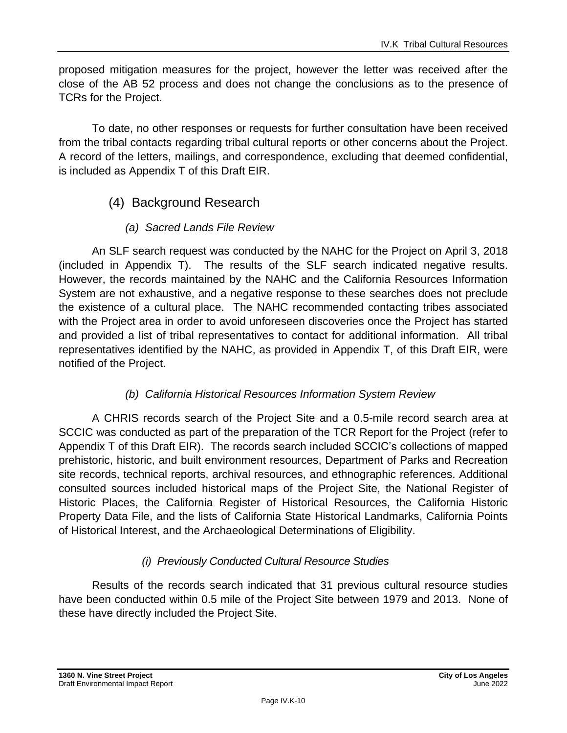proposed mitigation measures for the project, however the letter was received after the close of the AB 52 process and does not change the conclusions as to the presence of TCRs for the Project.

To date, no other responses or requests for further consultation have been received from the tribal contacts regarding tribal cultural reports or other concerns about the Project. A record of the letters, mailings, and correspondence, excluding that deemed confidential, is included as Appendix T of this Draft EIR.

### (4) Background Research

#### *(a) Sacred Lands File Review*

An SLF search request was conducted by the NAHC for the Project on April 3, 2018 (included in Appendix T). The results of the SLF search indicated negative results. However, the records maintained by the NAHC and the California Resources Information System are not exhaustive, and a negative response to these searches does not preclude the existence of a cultural place. The NAHC recommended contacting tribes associated with the Project area in order to avoid unforeseen discoveries once the Project has started and provided a list of tribal representatives to contact for additional information. All tribal representatives identified by the NAHC, as provided in Appendix T, of this Draft EIR, were notified of the Project.

#### *(b) California Historical Resources Information System Review*

A CHRIS records search of the Project Site and a 0.5-mile record search area at SCCIC was conducted as part of the preparation of the TCR Report for the Project (refer to Appendix T of this Draft EIR). The records search included SCCIC's collections of mapped prehistoric, historic, and built environment resources, Department of Parks and Recreation site records, technical reports, archival resources, and ethnographic references. Additional consulted sources included historical maps of the Project Site, the National Register of Historic Places, the California Register of Historical Resources, the California Historic Property Data File, and the lists of California State Historical Landmarks, California Points of Historical Interest, and the Archaeological Determinations of Eligibility.

#### *(i) Previously Conducted Cultural Resource Studies*

Results of the records search indicated that 31 previous cultural resource studies have been conducted within 0.5 mile of the Project Site between 1979 and 2013. None of these have directly included the Project Site.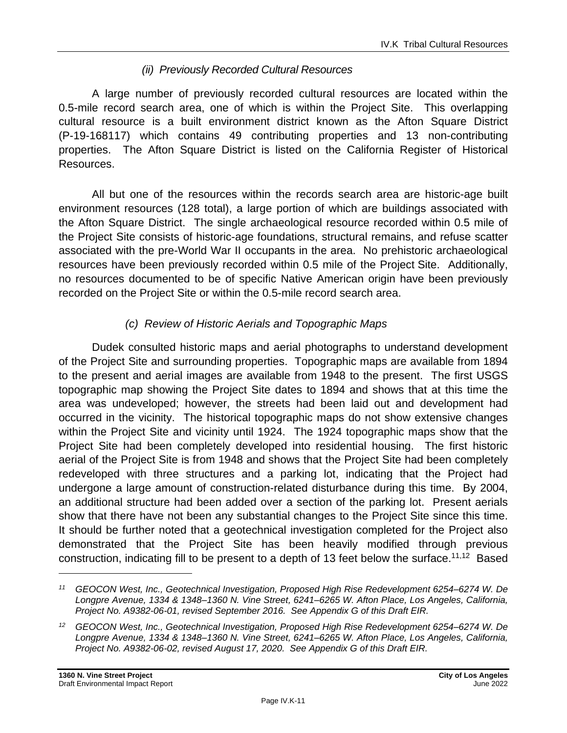#### *(ii) Previously Recorded Cultural Resources*

A large number of previously recorded cultural resources are located within the 0.5-mile record search area, one of which is within the Project Site. This overlapping cultural resource is a built environment district known as the Afton Square District (P-19-168117) which contains 49 contributing properties and 13 non-contributing properties. The Afton Square District is listed on the California Register of Historical Resources.

All but one of the resources within the records search area are historic-age built environment resources (128 total), a large portion of which are buildings associated with the Afton Square District. The single archaeological resource recorded within 0.5 mile of the Project Site consists of historic-age foundations, structural remains, and refuse scatter associated with the pre-World War II occupants in the area. No prehistoric archaeological resources have been previously recorded within 0.5 mile of the Project Site. Additionally, no resources documented to be of specific Native American origin have been previously recorded on the Project Site or within the 0.5-mile record search area.

#### *(c) Review of Historic Aerials and Topographic Maps*

Dudek consulted historic maps and aerial photographs to understand development of the Project Site and surrounding properties. Topographic maps are available from 1894 to the present and aerial images are available from 1948 to the present. The first USGS topographic map showing the Project Site dates to 1894 and shows that at this time the area was undeveloped; however, the streets had been laid out and development had occurred in the vicinity. The historical topographic maps do not show extensive changes within the Project Site and vicinity until 1924. The 1924 topographic maps show that the Project Site had been completely developed into residential housing. The first historic aerial of the Project Site is from 1948 and shows that the Project Site had been completely redeveloped with three structures and a parking lot, indicating that the Project had undergone a large amount of construction-related disturbance during this time. By 2004, an additional structure had been added over a section of the parking lot. Present aerials show that there have not been any substantial changes to the Project Site since this time. It should be further noted that a geotechnical investigation completed for the Project also demonstrated that the Project Site has been heavily modified through previous construction, indicating fill to be present to a depth of 13 feet below the surface.<sup>11,12</sup> Based

*<sup>11</sup> GEOCON West, Inc., Geotechnical Investigation, Proposed High Rise Redevelopment 6254–6274 W. De Longpre Avenue, 1334 & 1348–1360 N. Vine Street, 6241–6265 W. Afton Place, Los Angeles, California, Project No. A9382-06-01, revised September 2016. See Appendix G of this Draft EIR.*

*<sup>12</sup> GEOCON West, Inc., Geotechnical Investigation, Proposed High Rise Redevelopment 6254–6274 W. De Longpre Avenue, 1334 & 1348–1360 N. Vine Street, 6241–6265 W. Afton Place, Los Angeles, California, Project No. A9382-06-02, revised August 17, 2020. See Appendix G of this Draft EIR.*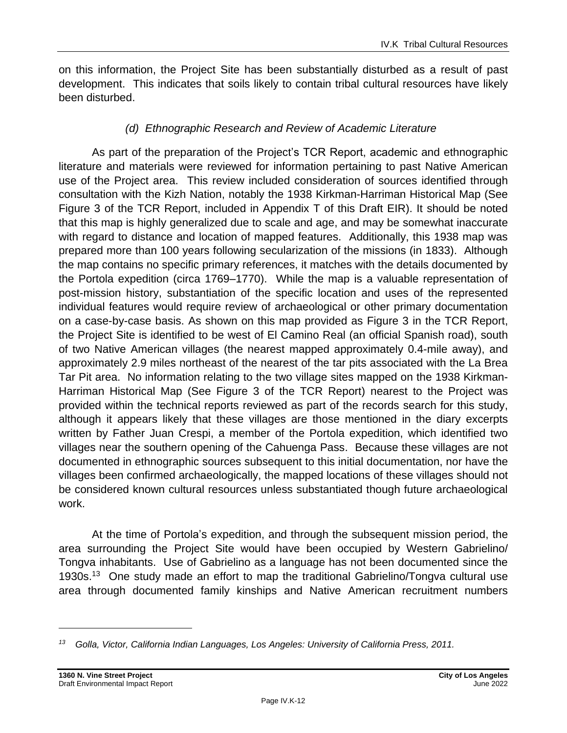on this information, the Project Site has been substantially disturbed as a result of past development. This indicates that soils likely to contain tribal cultural resources have likely been disturbed.

#### *(d) Ethnographic Research and Review of Academic Literature*

As part of the preparation of the Project's TCR Report, academic and ethnographic literature and materials were reviewed for information pertaining to past Native American use of the Project area. This review included consideration of sources identified through consultation with the Kizh Nation, notably the 1938 Kirkman-Harriman Historical Map (See Figure 3 of the TCR Report, included in Appendix T of this Draft EIR). It should be noted that this map is highly generalized due to scale and age, and may be somewhat inaccurate with regard to distance and location of mapped features. Additionally, this 1938 map was prepared more than 100 years following secularization of the missions (in 1833). Although the map contains no specific primary references, it matches with the details documented by the Portola expedition (circa 1769–1770). While the map is a valuable representation of post-mission history, substantiation of the specific location and uses of the represented individual features would require review of archaeological or other primary documentation on a case-by-case basis. As shown on this map provided as Figure 3 in the TCR Report, the Project Site is identified to be west of El Camino Real (an official Spanish road), south of two Native American villages (the nearest mapped approximately 0.4-mile away), and approximately 2.9 miles northeast of the nearest of the tar pits associated with the La Brea Tar Pit area. No information relating to the two village sites mapped on the 1938 Kirkman-Harriman Historical Map (See Figure 3 of the TCR Report) nearest to the Project was provided within the technical reports reviewed as part of the records search for this study, although it appears likely that these villages are those mentioned in the diary excerpts written by Father Juan Crespi, a member of the Portola expedition, which identified two villages near the southern opening of the Cahuenga Pass. Because these villages are not documented in ethnographic sources subsequent to this initial documentation, nor have the villages been confirmed archaeologically, the mapped locations of these villages should not be considered known cultural resources unless substantiated though future archaeological work.

At the time of Portola's expedition, and through the subsequent mission period, the area surrounding the Project Site would have been occupied by Western Gabrielino/ Tongva inhabitants. Use of Gabrielino as a language has not been documented since the 1930s.<sup>13</sup> One study made an effort to map the traditional Gabrielino/Tongva cultural use area through documented family kinships and Native American recruitment numbers

*<sup>13</sup> Golla, Victor, California Indian Languages, Los Angeles: University of California Press, 2011.*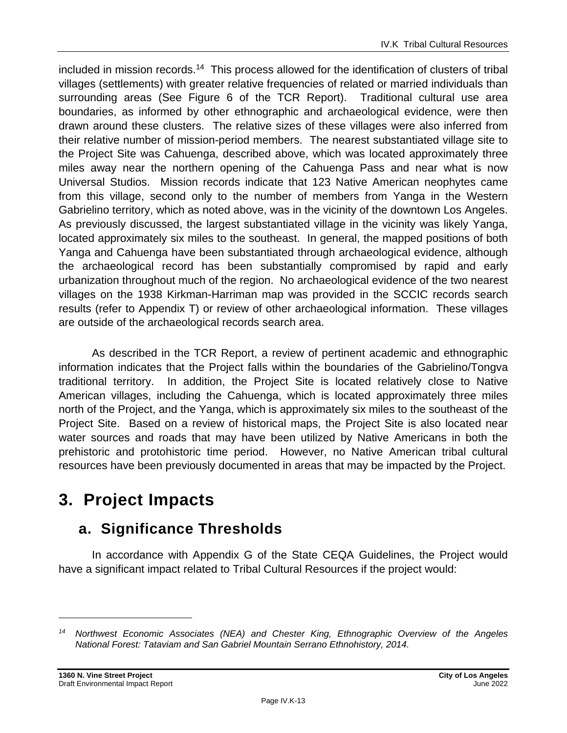included in mission records.<sup>14</sup> This process allowed for the identification of clusters of tribal villages (settlements) with greater relative frequencies of related or married individuals than surrounding areas (See Figure 6 of the TCR Report). Traditional cultural use area boundaries, as informed by other ethnographic and archaeological evidence, were then drawn around these clusters. The relative sizes of these villages were also inferred from their relative number of mission-period members. The nearest substantiated village site to the Project Site was Cahuenga, described above, which was located approximately three miles away near the northern opening of the Cahuenga Pass and near what is now Universal Studios. Mission records indicate that 123 Native American neophytes came from this village, second only to the number of members from Yanga in the Western Gabrielino territory, which as noted above, was in the vicinity of the downtown Los Angeles. As previously discussed, the largest substantiated village in the vicinity was likely Yanga, located approximately six miles to the southeast. In general, the mapped positions of both Yanga and Cahuenga have been substantiated through archaeological evidence, although the archaeological record has been substantially compromised by rapid and early urbanization throughout much of the region. No archaeological evidence of the two nearest villages on the 1938 Kirkman-Harriman map was provided in the SCCIC records search results (refer to Appendix T) or review of other archaeological information. These villages are outside of the archaeological records search area.

As described in the TCR Report, a review of pertinent academic and ethnographic information indicates that the Project falls within the boundaries of the Gabrielino/Tongva traditional territory. In addition, the Project Site is located relatively close to Native American villages, including the Cahuenga, which is located approximately three miles north of the Project, and the Yanga, which is approximately six miles to the southeast of the Project Site. Based on a review of historical maps, the Project Site is also located near water sources and roads that may have been utilized by Native Americans in both the prehistoric and protohistoric time period. However, no Native American tribal cultural resources have been previously documented in areas that may be impacted by the Project.

# **3. Project Impacts**

# **a. Significance Thresholds**

In accordance with Appendix G of the State CEQA Guidelines, the Project would have a significant impact related to Tribal Cultural Resources if the project would:

*<sup>14</sup> Northwest Economic Associates (NEA) and Chester King, Ethnographic Overview of the Angeles National Forest: Tataviam and San Gabriel Mountain Serrano Ethnohistory, 2014.*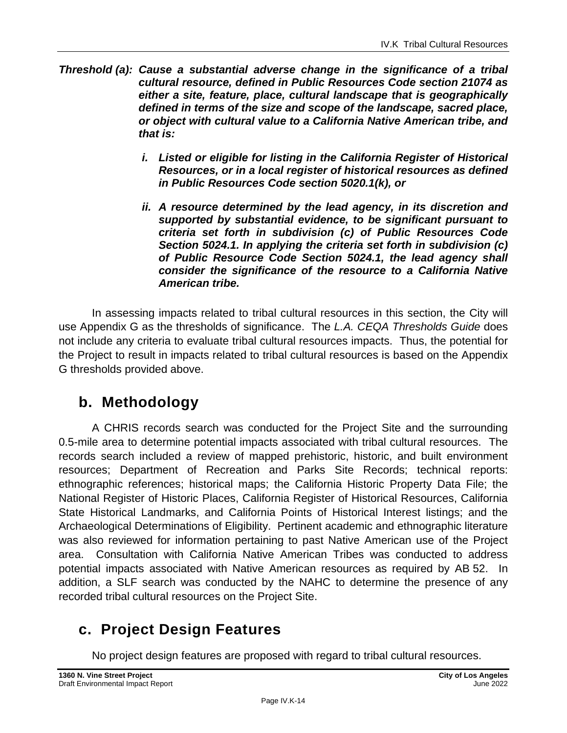- *Threshold (a): Cause a substantial adverse change in the significance of a tribal cultural resource, defined in Public Resources Code section 21074 as either a site, feature, place, cultural landscape that is geographically defined in terms of the size and scope of the landscape, sacred place, or object with cultural value to a California Native American tribe, and that is:*
	- *i. Listed or eligible for listing in the California Register of Historical Resources, or in a local register of historical resources as defined in Public Resources Code section 5020.1(k), or*
	- *ii. A resource determined by the lead agency, in its discretion and supported by substantial evidence, to be significant pursuant to criteria set forth in subdivision (c) of Public Resources Code Section 5024.1. In applying the criteria set forth in subdivision (c) of Public Resource Code Section 5024.1, the lead agency shall consider the significance of the resource to a California Native American tribe.*

In assessing impacts related to tribal cultural resources in this section, the City will use Appendix G as the thresholds of significance. The *L.A. CEQA Thresholds Guide* does not include any criteria to evaluate tribal cultural resources impacts. Thus, the potential for the Project to result in impacts related to tribal cultural resources is based on the Appendix G thresholds provided above.

### **b. Methodology**

A CHRIS records search was conducted for the Project Site and the surrounding 0.5-mile area to determine potential impacts associated with tribal cultural resources. The records search included a review of mapped prehistoric, historic, and built environment resources; Department of Recreation and Parks Site Records; technical reports: ethnographic references; historical maps; the California Historic Property Data File; the National Register of Historic Places, California Register of Historical Resources, California State Historical Landmarks, and California Points of Historical Interest listings; and the Archaeological Determinations of Eligibility. Pertinent academic and ethnographic literature was also reviewed for information pertaining to past Native American use of the Project area. Consultation with California Native American Tribes was conducted to address potential impacts associated with Native American resources as required by AB 52. In addition, a SLF search was conducted by the NAHC to determine the presence of any recorded tribal cultural resources on the Project Site.

# **c. Project Design Features**

No project design features are proposed with regard to tribal cultural resources.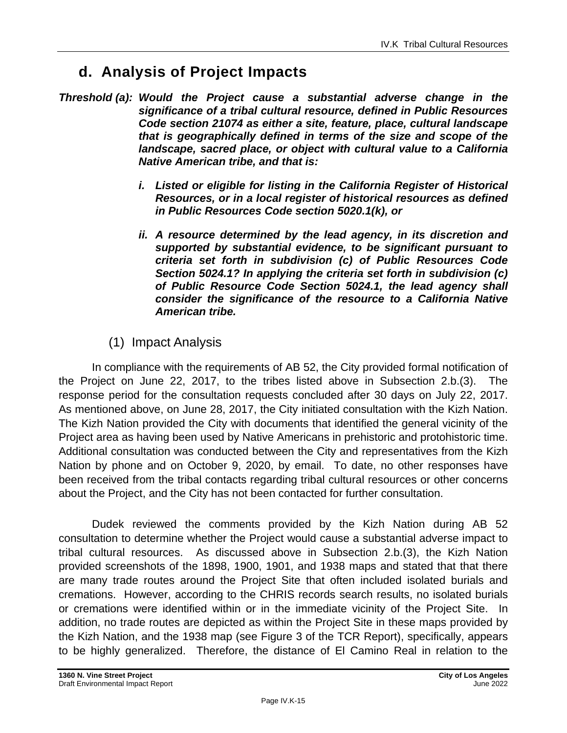## **d. Analysis of Project Impacts**

- *Threshold (a): Would the Project cause a substantial adverse change in the significance of a tribal cultural resource, defined in Public Resources Code section 21074 as either a site, feature, place, cultural landscape that is geographically defined in terms of the size and scope of the landscape, sacred place, or object with cultural value to a California Native American tribe, and that is:*
	- *i. Listed or eligible for listing in the California Register of Historical Resources, or in a local register of historical resources as defined in Public Resources Code section 5020.1(k), or*
	- *ii. A resource determined by the lead agency, in its discretion and supported by substantial evidence, to be significant pursuant to criteria set forth in subdivision (c) of Public Resources Code Section 5024.1? In applying the criteria set forth in subdivision (c) of Public Resource Code Section 5024.1, the lead agency shall consider the significance of the resource to a California Native American tribe.*
	- (1) Impact Analysis

In compliance with the requirements of AB 52, the City provided formal notification of the Project on June 22, 2017, to the tribes listed above in Subsection 2.b.(3). The response period for the consultation requests concluded after 30 days on July 22, 2017. As mentioned above, on June 28, 2017, the City initiated consultation with the Kizh Nation. The Kizh Nation provided the City with documents that identified the general vicinity of the Project area as having been used by Native Americans in prehistoric and protohistoric time. Additional consultation was conducted between the City and representatives from the Kizh Nation by phone and on October 9, 2020, by email. To date, no other responses have been received from the tribal contacts regarding tribal cultural resources or other concerns about the Project, and the City has not been contacted for further consultation.

Dudek reviewed the comments provided by the Kizh Nation during AB 52 consultation to determine whether the Project would cause a substantial adverse impact to tribal cultural resources. As discussed above in Subsection 2.b.(3), the Kizh Nation provided screenshots of the 1898, 1900, 1901, and 1938 maps and stated that that there are many trade routes around the Project Site that often included isolated burials and cremations. However, according to the CHRIS records search results, no isolated burials or cremations were identified within or in the immediate vicinity of the Project Site. In addition, no trade routes are depicted as within the Project Site in these maps provided by the Kizh Nation, and the 1938 map (see Figure 3 of the TCR Report), specifically, appears to be highly generalized. Therefore, the distance of El Camino Real in relation to the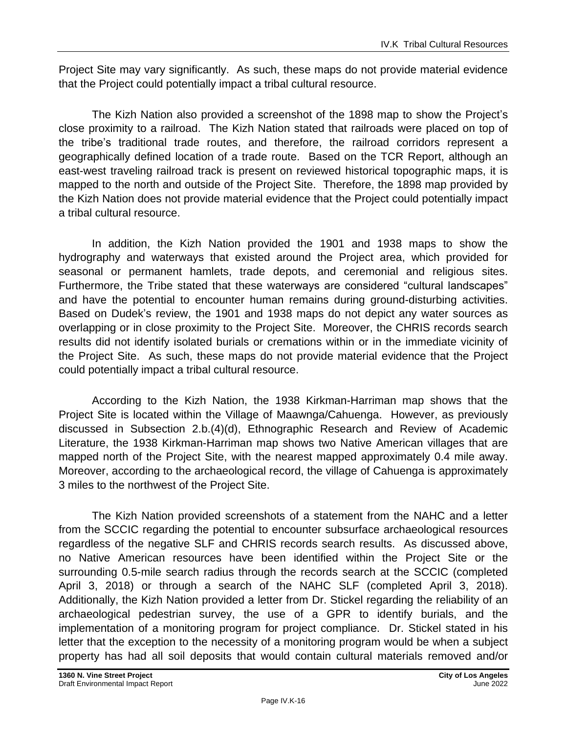Project Site may vary significantly. As such, these maps do not provide material evidence that the Project could potentially impact a tribal cultural resource.

The Kizh Nation also provided a screenshot of the 1898 map to show the Project's close proximity to a railroad. The Kizh Nation stated that railroads were placed on top of the tribe's traditional trade routes, and therefore, the railroad corridors represent a geographically defined location of a trade route. Based on the TCR Report, although an east-west traveling railroad track is present on reviewed historical topographic maps, it is mapped to the north and outside of the Project Site. Therefore, the 1898 map provided by the Kizh Nation does not provide material evidence that the Project could potentially impact a tribal cultural resource.

In addition, the Kizh Nation provided the 1901 and 1938 maps to show the hydrography and waterways that existed around the Project area, which provided for seasonal or permanent hamlets, trade depots, and ceremonial and religious sites. Furthermore, the Tribe stated that these waterways are considered "cultural landscapes" and have the potential to encounter human remains during ground-disturbing activities. Based on Dudek's review, the 1901 and 1938 maps do not depict any water sources as overlapping or in close proximity to the Project Site. Moreover, the CHRIS records search results did not identify isolated burials or cremations within or in the immediate vicinity of the Project Site. As such, these maps do not provide material evidence that the Project could potentially impact a tribal cultural resource.

According to the Kizh Nation, the 1938 Kirkman-Harriman map shows that the Project Site is located within the Village of Maawnga/Cahuenga. However, as previously discussed in Subsection 2.b.(4)(d), Ethnographic Research and Review of Academic Literature, the 1938 Kirkman-Harriman map shows two Native American villages that are mapped north of the Project Site, with the nearest mapped approximately 0.4 mile away. Moreover, according to the archaeological record, the village of Cahuenga is approximately 3 miles to the northwest of the Project Site.

The Kizh Nation provided screenshots of a statement from the NAHC and a letter from the SCCIC regarding the potential to encounter subsurface archaeological resources regardless of the negative SLF and CHRIS records search results. As discussed above, no Native American resources have been identified within the Project Site or the surrounding 0.5-mile search radius through the records search at the SCCIC (completed April 3, 2018) or through a search of the NAHC SLF (completed April 3, 2018). Additionally, the Kizh Nation provided a letter from Dr. Stickel regarding the reliability of an archaeological pedestrian survey, the use of a GPR to identify burials, and the implementation of a monitoring program for project compliance. Dr. Stickel stated in his letter that the exception to the necessity of a monitoring program would be when a subject property has had all soil deposits that would contain cultural materials removed and/or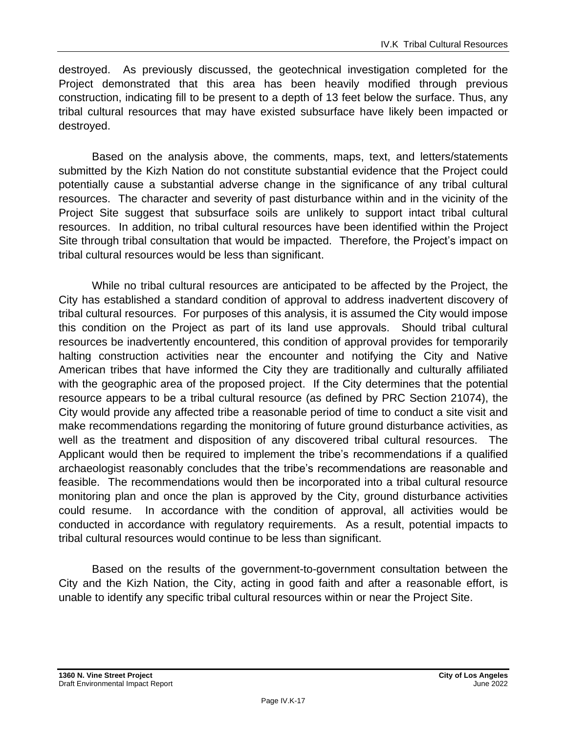destroyed. As previously discussed, the geotechnical investigation completed for the Project demonstrated that this area has been heavily modified through previous construction, indicating fill to be present to a depth of 13 feet below the surface. Thus, any tribal cultural resources that may have existed subsurface have likely been impacted or destroyed.

Based on the analysis above, the comments, maps, text, and letters/statements submitted by the Kizh Nation do not constitute substantial evidence that the Project could potentially cause a substantial adverse change in the significance of any tribal cultural resources. The character and severity of past disturbance within and in the vicinity of the Project Site suggest that subsurface soils are unlikely to support intact tribal cultural resources. In addition, no tribal cultural resources have been identified within the Project Site through tribal consultation that would be impacted. Therefore, the Project's impact on tribal cultural resources would be less than significant.

While no tribal cultural resources are anticipated to be affected by the Project, the City has established a standard condition of approval to address inadvertent discovery of tribal cultural resources. For purposes of this analysis, it is assumed the City would impose this condition on the Project as part of its land use approvals. Should tribal cultural resources be inadvertently encountered, this condition of approval provides for temporarily halting construction activities near the encounter and notifying the City and Native American tribes that have informed the City they are traditionally and culturally affiliated with the geographic area of the proposed project. If the City determines that the potential resource appears to be a tribal cultural resource (as defined by PRC Section 21074), the City would provide any affected tribe a reasonable period of time to conduct a site visit and make recommendations regarding the monitoring of future ground disturbance activities, as well as the treatment and disposition of any discovered tribal cultural resources. The Applicant would then be required to implement the tribe's recommendations if a qualified archaeologist reasonably concludes that the tribe's recommendations are reasonable and feasible. The recommendations would then be incorporated into a tribal cultural resource monitoring plan and once the plan is approved by the City, ground disturbance activities could resume. In accordance with the condition of approval, all activities would be conducted in accordance with regulatory requirements. As a result, potential impacts to tribal cultural resources would continue to be less than significant.

Based on the results of the government-to-government consultation between the City and the Kizh Nation, the City, acting in good faith and after a reasonable effort, is unable to identify any specific tribal cultural resources within or near the Project Site.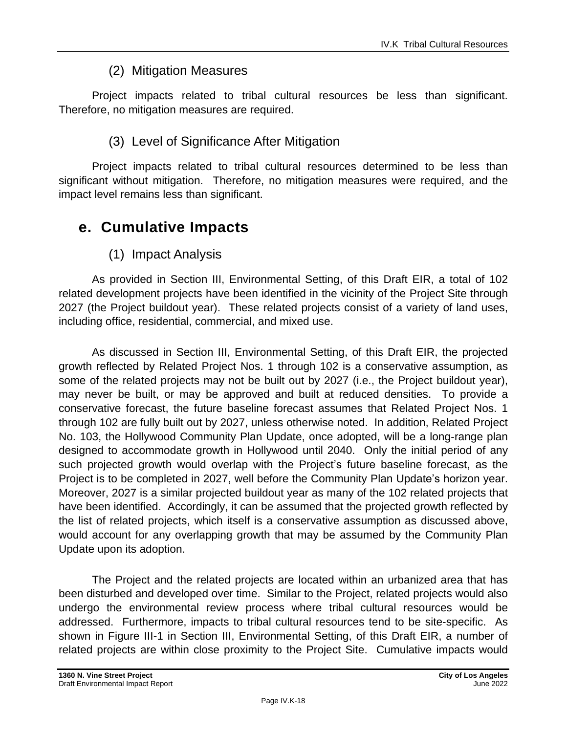### (2) Mitigation Measures

Project impacts related to tribal cultural resources be less than significant. Therefore, no mitigation measures are required.

### (3) Level of Significance After Mitigation

Project impacts related to tribal cultural resources determined to be less than significant without mitigation. Therefore, no mitigation measures were required, and the impact level remains less than significant.

### **e. Cumulative Impacts**

(1) Impact Analysis

As provided in Section III, Environmental Setting, of this Draft EIR, a total of 102 related development projects have been identified in the vicinity of the Project Site through 2027 (the Project buildout year). These related projects consist of a variety of land uses, including office, residential, commercial, and mixed use.

As discussed in Section III, Environmental Setting, of this Draft EIR, the projected growth reflected by Related Project Nos. 1 through 102 is a conservative assumption, as some of the related projects may not be built out by 2027 (i.e., the Project buildout year), may never be built, or may be approved and built at reduced densities. To provide a conservative forecast, the future baseline forecast assumes that Related Project Nos. 1 through 102 are fully built out by 2027, unless otherwise noted. In addition, Related Project No. 103, the Hollywood Community Plan Update, once adopted, will be a long-range plan designed to accommodate growth in Hollywood until 2040. Only the initial period of any such projected growth would overlap with the Project's future baseline forecast, as the Project is to be completed in 2027, well before the Community Plan Update's horizon year. Moreover, 2027 is a similar projected buildout year as many of the 102 related projects that have been identified. Accordingly, it can be assumed that the projected growth reflected by the list of related projects, which itself is a conservative assumption as discussed above, would account for any overlapping growth that may be assumed by the Community Plan Update upon its adoption.

The Project and the related projects are located within an urbanized area that has been disturbed and developed over time. Similar to the Project, related projects would also undergo the environmental review process where tribal cultural resources would be addressed. Furthermore, impacts to tribal cultural resources tend to be site-specific. As shown in Figure III-1 in Section III, Environmental Setting, of this Draft EIR, a number of related projects are within close proximity to the Project Site. Cumulative impacts would